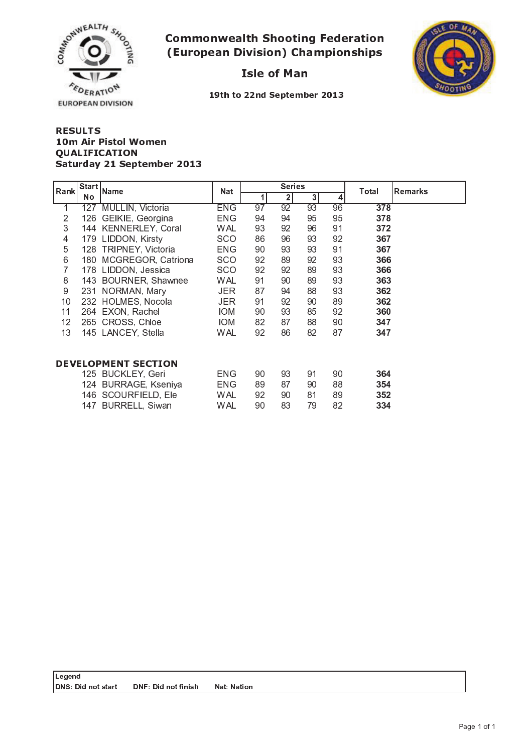

### - -  . . . . . . . . . . . . . .



19th to 22nd September 201



#### + , - . / <sup>0</sup> - ----------- <sup>8</sup> <sup>9</sup> : ; <sup>&</sup>lt; <sup>8</sup> <sup>=</sup> <sup>&</sup>gt; ? - @ <sup>A</sup> <sup>9</sup> @ <sup>B</sup> <sup>C</sup> @ ; <sup>&</sup>gt; <sup>D</sup> ? <sup>E</sup> ? <sup>D</sup> <sup>B</sup> <sup>2</sup> ; <sup>9</sup> <sup>B</sup> @

| Rank                       | Start | Name                   | <b>Nat</b> |                 | <b>Series</b> |    |    | Total<br><b>Remarks</b> |  |
|----------------------------|-------|------------------------|------------|-----------------|---------------|----|----|-------------------------|--|
|                            | No    |                        |            | 1               | $\mathbf{2}$  | 3  | 4  |                         |  |
| 1                          |       | 127 MULLIN, Victoria   | <b>ENG</b> | $\overline{97}$ | 92            | 93 | 96 | 378                     |  |
| $\overline{2}$             | 126   | GEIKIE, Georgina       | ENG        | 94              | 94            | 95 | 95 | 378                     |  |
| 3                          |       | 144 KENNERLEY, Coral   | <b>WAL</b> | 93              | 92            | 96 | 91 | 372                     |  |
| 4                          |       | 179 LIDDON, Kirsty     | <b>SCO</b> | 86              | 96            | 93 | 92 | 367                     |  |
| 5                          | 128   | TRIPNEY, Victoria      | <b>ENG</b> | 90              | 93            | 93 | 91 | 367                     |  |
| 6                          |       | 180 MCGREGOR, Catriona | <b>SCO</b> | 92              | 89            | 92 | 93 | 366                     |  |
| 7                          |       | 178 LIDDON, Jessica    | <b>SCO</b> | 92              | 92            | 89 | 93 | 366                     |  |
| $\,8\,$                    |       | 143 BOURNER, Shawnee   | WAL        | 91              | 90            | 89 | 93 | 363                     |  |
| 9                          |       | 231 NORMAN, Mary       | <b>JER</b> | 87              | 94            | 88 | 93 | 362                     |  |
| 10                         |       | 232 HOLMES, Nocola     | JER.       | 91              | 92            | 90 | 89 | 362                     |  |
| 11                         |       | 264 EXON, Rachel       | IOM        | 90              | 93            | 85 | 92 | 360                     |  |
| 12                         |       | 265 CROSS, Chloe       | <b>IOM</b> | 82              | 87            | 88 | 90 | 347                     |  |
| 13                         |       | 145 LANCEY, Stella     | WAL        | 92              | 86            | 82 | 87 | 347                     |  |
| <b>DEVELOPMENT SECTION</b> |       |                        |            |                 |               |    |    |                         |  |
|                            |       | 125 BUCKLEY, Geri      | <b>ENG</b> | 90              | 93            | 91 | 90 | 364                     |  |
|                            |       | 124 BURRAGE, Kseniya   | <b>ENG</b> | 89              | 87            | 90 | 88 | 354                     |  |
|                            |       | 146 SCOURFIELD, Ele    | WAL        | 92              | 90            | 81 | 89 | 352                     |  |
|                            |       | 147 BURRELL, Siwan     | WAL        | 90              | 83            | 79 | 82 | 334                     |  |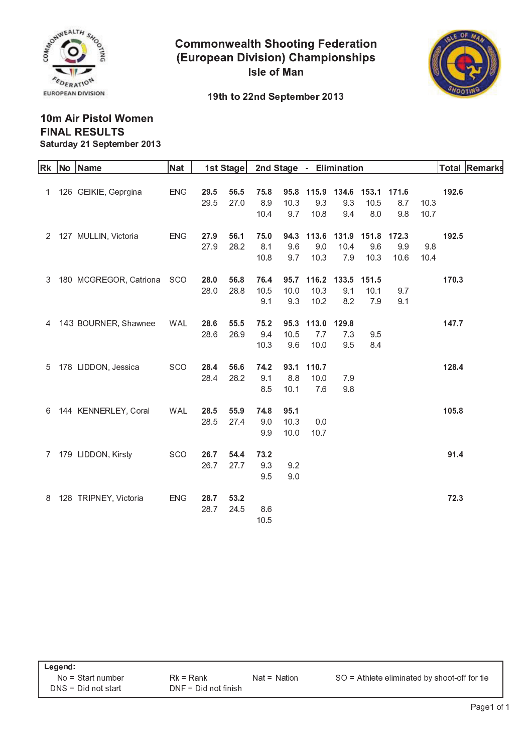

**Commonwealth Shooting Federation (European Division) Championships Isle of Man** 



#### 19th to 22nd September 2013

#### 10m Air Pistol Women **FINAL RESULTS** Saturday 21 September 2013

| <b>Rk</b> | No Name                | <b>Nat</b> |      | 1st Stage |      |      | 2nd Stage - Elimination |             |             |       |      |       | Total Remarks |
|-----------|------------------------|------------|------|-----------|------|------|-------------------------|-------------|-------------|-------|------|-------|---------------|
|           |                        |            |      |           |      |      |                         |             |             |       |      |       |               |
|           | 1 126 GEIKIE, Geprgina | <b>ENG</b> | 29.5 | 56.5      | 75.8 | 95.8 |                         | 115.9 134.6 | 153.1 171.6 |       |      | 192.6 |               |
|           |                        |            | 29.5 | 27.0      | 8.9  | 10.3 | 9.3                     | 9.3         | 10.5        | 8.7   | 10.3 |       |               |
|           |                        |            |      |           | 10.4 | 9.7  | 10.8                    | 9.4         | 8.0         | 9.8   | 10.7 |       |               |
|           | 2 127 MULLIN, Victoria | <b>ENG</b> | 27.9 | 56.1      | 75.0 | 94.3 |                         | 113.6 131.9 | 151.8       | 172.3 |      | 192.5 |               |
|           |                        |            | 27.9 | 28.2      | 8.1  | 9.6  | 9.0                     | 10.4        | 9.6         | 9.9   | 9.8  |       |               |
|           |                        |            |      |           | 10.8 | 9.7  | 10.3                    | 7.9         | 10.3        | 10.6  | 10.4 |       |               |
| 3         | 180 MCGREGOR, Catriona | <b>SCO</b> | 28.0 | 56.8      | 76.4 | 95.7 |                         | 116.2 133.5 | 151.5       |       |      | 170.3 |               |
|           |                        |            | 28.0 | 28.8      | 10.5 | 10.0 | 10.3                    | 9.1         | 10.1        | 9.7   |      |       |               |
|           |                        |            |      |           | 9.1  | 9.3  | 10.2                    | 8.2         | 7.9         | 9.1   |      |       |               |
| 4         | 143 BOURNER, Shawnee   | <b>WAL</b> | 28.6 | 55.5      | 75.2 | 95.3 |                         | 113.0 129.8 |             |       |      | 147.7 |               |
|           |                        |            | 28.6 | 26.9      | 9.4  | 10.5 | 7.7                     | 7.3         | 9.5         |       |      |       |               |
|           |                        |            |      |           | 10.3 | 9.6  | 10.0                    | 9.5         | 8.4         |       |      |       |               |
| 5         | 178 LIDDON, Jessica    | <b>SCO</b> | 28.4 | 56.6      | 74.2 | 93.1 | 110.7                   |             |             |       |      | 128.4 |               |
|           |                        |            | 28.4 | 28.2      | 9.1  | 8.8  | 10.0                    | 7.9         |             |       |      |       |               |
|           |                        |            |      |           | 8.5  | 10.1 | 7.6                     | 9.8         |             |       |      |       |               |
| 6         | 144 KENNERLEY, Coral   | <b>WAL</b> | 28.5 | 55.9      | 74.8 | 95.1 |                         |             |             |       |      | 105.8 |               |
|           |                        |            | 28.5 | 27.4      | 9.0  | 10.3 | 0.0                     |             |             |       |      |       |               |
|           |                        |            |      |           | 9.9  | 10.0 | 10.7                    |             |             |       |      |       |               |
| 7         | 179 LIDDON, Kirsty     | SCO        | 26.7 | 54.4      | 73.2 |      |                         |             |             |       |      | 91.4  |               |
|           |                        |            | 26.7 | 27.7      | 9.3  | 9.2  |                         |             |             |       |      |       |               |
|           |                        |            |      |           | 9.5  | 9.0  |                         |             |             |       |      |       |               |
| 8         | 128 TRIPNEY, Victoria  | <b>ENG</b> | 28.7 | 53.2      |      |      |                         |             |             |       |      | 72.3  |               |
|           |                        |            | 28.7 | 24.5      | 8.6  |      |                         |             |             |       |      |       |               |
|           |                        |            |      |           | 10.5 |      |                         |             |             |       |      |       |               |
|           |                        |            |      |           |      |      |                         |             |             |       |      |       |               |

| Legend:               |                        |                |                                                |  |  |  |  |  |  |
|-----------------------|------------------------|----------------|------------------------------------------------|--|--|--|--|--|--|
| $No = Start number$   | $Rk = Rank$            | $Nat = Nation$ | $SO =$ Athlete eliminated by shoot-off for tie |  |  |  |  |  |  |
| $DNS = Did not start$ | $DNF = Did not finish$ |                |                                                |  |  |  |  |  |  |